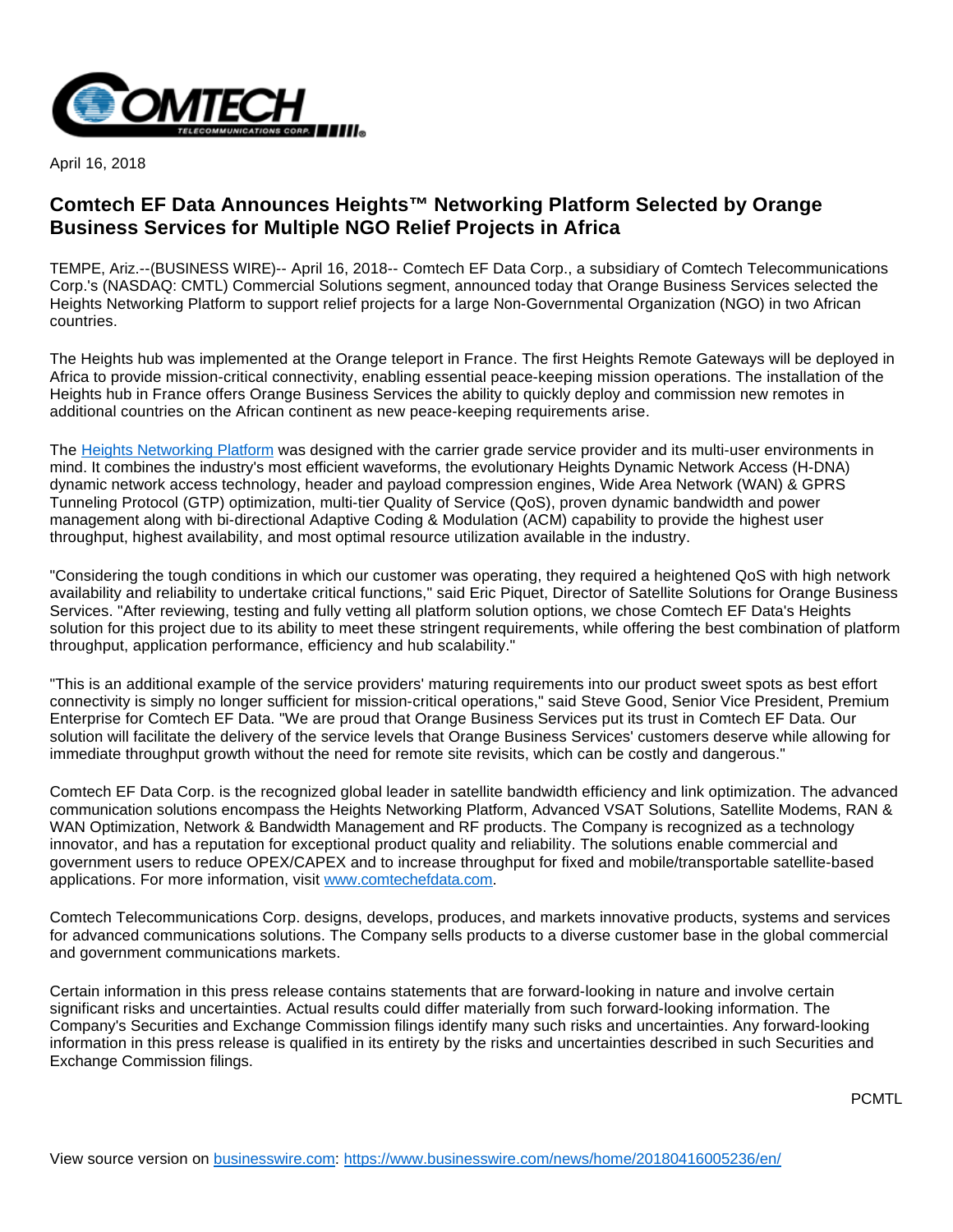

April 16, 2018

## **Comtech EF Data Announces Heights™ Networking Platform Selected by Orange Business Services for Multiple NGO Relief Projects in Africa**

TEMPE, Ariz.--(BUSINESS WIRE)-- April 16, 2018-- Comtech EF Data Corp., a subsidiary of Comtech Telecommunications Corp.'s (NASDAQ: CMTL) Commercial Solutions segment, announced today that Orange Business Services selected the Heights Networking Platform to support relief projects for a large Non-Governmental Organization (NGO) in two African countries.

The Heights hub was implemented at the Orange teleport in France. The first Heights Remote Gateways will be deployed in Africa to provide mission-critical connectivity, enabling essential peace-keeping mission operations. The installation of the Heights hub in France offers Orange Business Services the ability to quickly deploy and commission new remotes in additional countries on the African continent as new peace-keeping requirements arise.

The [Heights Networking Platform](http://cts.businesswire.com/ct/CT?id=smartlink&url=https%3A%2F%2Fwww.comtechefdata.com%2Fproducts%2Fheights-networking-platform&esheet=51788605&newsitemid=20180416005236&lan=en-US&anchor=Heights+Networking+Platform&index=1&md5=646c88166c048bb444a38bee0364570d) was designed with the carrier grade service provider and its multi-user environments in mind. It combines the industry's most efficient waveforms, the evolutionary Heights Dynamic Network Access (H-DNA) dynamic network access technology, header and payload compression engines. Wide Area Network (WAN) & GPRS Tunneling Protocol (GTP) optimization, multi-tier Quality of Service (QoS), proven dynamic bandwidth and power management along with bi-directional Adaptive Coding & Modulation (ACM) capability to provide the highest user throughput, highest availability, and most optimal resource utilization available in the industry.

"Considering the tough conditions in which our customer was operating, they required a heightened QoS with high network availability and reliability to undertake critical functions," said Eric Piquet, Director of Satellite Solutions for Orange Business Services. "After reviewing, testing and fully vetting all platform solution options, we chose Comtech EF Data's Heights solution for this project due to its ability to meet these stringent requirements, while offering the best combination of platform throughput, application performance, efficiency and hub scalability."

"This is an additional example of the service providers' maturing requirements into our product sweet spots as best effort connectivity is simply no longer sufficient for mission-critical operations," said Steve Good, Senior Vice President, Premium Enterprise for Comtech EF Data. "We are proud that Orange Business Services put its trust in Comtech EF Data. Our solution will facilitate the delivery of the service levels that Orange Business Services' customers deserve while allowing for immediate throughput growth without the need for remote site revisits, which can be costly and dangerous."

Comtech EF Data Corp. is the recognized global leader in satellite bandwidth efficiency and link optimization. The advanced communication solutions encompass the Heights Networking Platform, Advanced VSAT Solutions, Satellite Modems, RAN & WAN Optimization, Network & Bandwidth Management and RF products. The Company is recognized as a technology innovator, and has a reputation for exceptional product quality and reliability. The solutions enable commercial and government users to reduce OPEX/CAPEX and to increase throughput for fixed and mobile/transportable satellite-based applications. For more information, visit [www.comtechefdata.com.](http://cts.businesswire.com/ct/CT?id=smartlink&url=http%3A%2F%2Fwww.comtechefdata.com&esheet=51788605&newsitemid=20180416005236&lan=en-US&anchor=www.comtechefdata.com&index=2&md5=2ba4baea47b62bf607ece5a1a2390476)

Comtech Telecommunications Corp. designs, develops, produces, and markets innovative products, systems and services for advanced communications solutions. The Company sells products to a diverse customer base in the global commercial and government communications markets.

Certain information in this press release contains statements that are forward-looking in nature and involve certain significant risks and uncertainties. Actual results could differ materially from such forward-looking information. The Company's Securities and Exchange Commission filings identify many such risks and uncertainties. Any forward-looking information in this press release is qualified in its entirety by the risks and uncertainties described in such Securities and Exchange Commission filings.

PCMTL